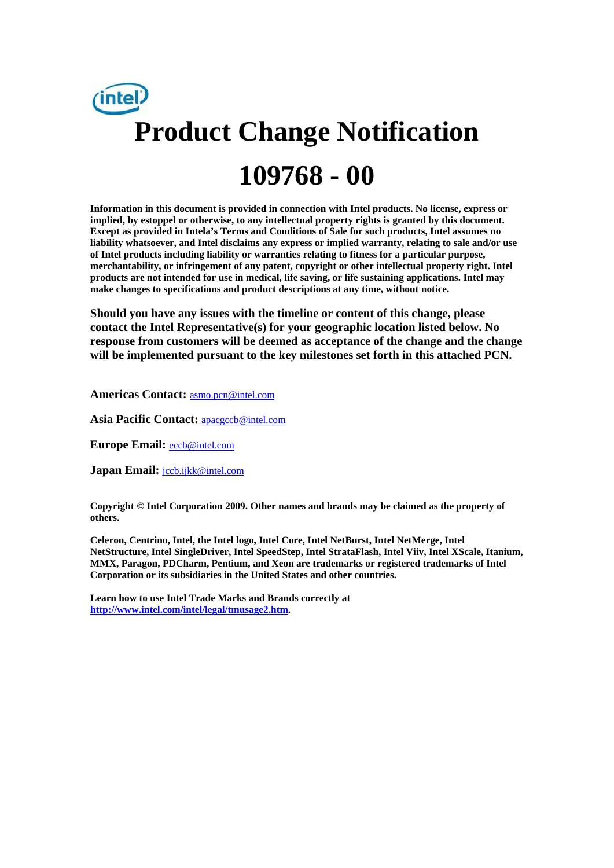

**Information in this document is provided in connection with Intel products. No license, express or implied, by estoppel or otherwise, to any intellectual property rights is granted by this document. Except as provided in Intela's Terms and Conditions of Sale for such products, Intel assumes no liability whatsoever, and Intel disclaims any express or implied warranty, relating to sale and/or use of Intel products including liability or warranties relating to fitness for a particular purpose, merchantability, or infringement of any patent, copyright or other intellectual property right. Intel products are not intended for use in medical, life saving, or life sustaining applications. Intel may make changes to specifications and product descriptions at any time, without notice.** 

**Should you have any issues with the timeline or content of this change, please contact the Intel Representative(s) for your geographic location listed below. No response from customers will be deemed as acceptance of the change and the change will be implemented pursuant to the key milestones set forth in this attached PCN.** 

**Americas Contact:** asmo.pcn@intel.com

**Asia Pacific Contact:** apacgccb@intel.com

**Europe Email:** eccb@intel.com

**Japan Email:** jccb.ijkk@intel.com

**Copyright © Intel Corporation 2009. Other names and brands may be claimed as the property of others.**

**Celeron, Centrino, Intel, the Intel logo, Intel Core, Intel NetBurst, Intel NetMerge, Intel NetStructure, Intel SingleDriver, Intel SpeedStep, Intel StrataFlash, Intel Viiv, Intel XScale, Itanium, MMX, Paragon, PDCharm, Pentium, and Xeon are trademarks or registered trademarks of Intel Corporation or its subsidiaries in the United States and other countries.** 

**Learn how to use Intel Trade Marks and Brands correctly at http://www.intel.com/intel/legal/tmusage2.htm.**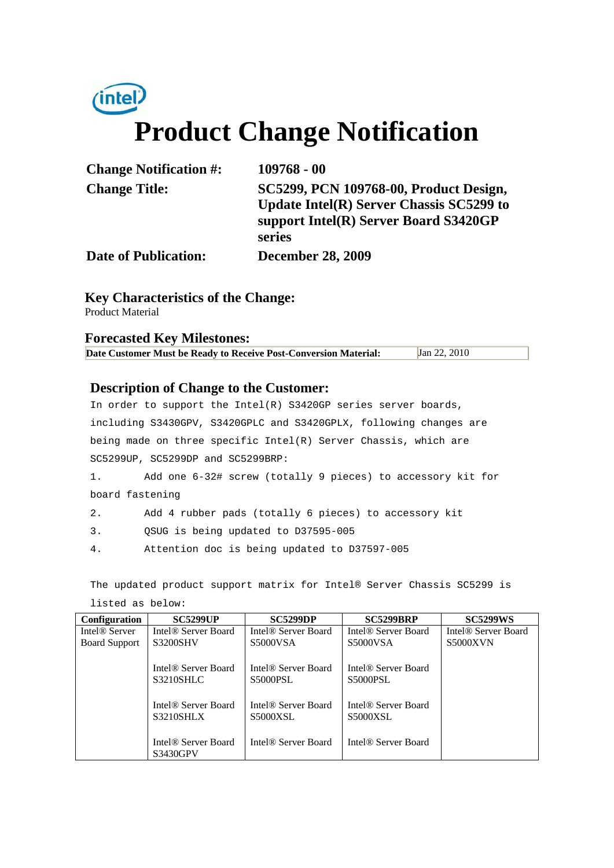# (intel) **Product Change Notification**

| <b>Change Notification #:</b> | $109768 - 00$                            |
|-------------------------------|------------------------------------------|
| <b>Change Title:</b>          | SC5299, PCN 109768-00, Product Design,   |
|                               | Update Intel(R) Server Chassis SC5299 to |
|                               | support Intel(R) Server Board S3420GP    |
|                               | series                                   |
| <b>Date of Publication:</b>   | <b>December 28, 2009</b>                 |

**Key Characteristics of the Change:**

Product Material

#### **Forecasted Key Milestones: Date Customer Must be Ready to Receive Post-Conversion Material:** Jan 22, 2010

#### **Description of Change to the Customer:**

In order to support the Intel(R) S3420GP series server boards, including S3430GPV, S3420GPLC and S3420GPLX, following changes are being made on three specific Intel(R) Server Chassis, which are SC5299UP, SC5299DP and SC5299BRP:

1. Add one 6-32# screw (totally 9 pieces) to accessory kit for board fastening

- 2. Add 4 rubber pads (totally 6 pieces) to accessory kit
- 3. QSUG is being updated to D37595-005
- 4. Attention doc is being updated to D37597-005

The updated product support matrix for Intel® Server Chassis SC5299 is

| <b>Configuration</b>      | <b>SC5299UP</b>                 | <b>SC5299DP</b>                 | <b>SC5299BRP</b>                | <b>SC5299WS</b>                 |
|---------------------------|---------------------------------|---------------------------------|---------------------------------|---------------------------------|
| Intel <sup>®</sup> Server | Intel <sup>®</sup> Server Board | Intel <sup>®</sup> Server Board | Intel <sup>®</sup> Server Board | Intel <sup>®</sup> Server Board |
| <b>Board Support</b>      | <b>S3200SHV</b>                 | <b>S5000VSA</b>                 | S5000VSA                        | <b>S5000XVN</b>                 |
|                           |                                 |                                 |                                 |                                 |
|                           | Intel <sup>®</sup> Server Board | Intel <sup>®</sup> Server Board | Intel <sup>®</sup> Server Board |                                 |
|                           | <b>S3210SHLC</b>                | <b>S5000PSL</b>                 | <b>S5000PSL</b>                 |                                 |
|                           |                                 |                                 |                                 |                                 |
|                           | Intel® Server Board             | Intel <sup>®</sup> Server Board | Intel <sup>®</sup> Server Board |                                 |
|                           | <b>S3210SHLX</b>                | <b>S5000XSL</b>                 | <b>S5000XSL</b>                 |                                 |
|                           |                                 |                                 |                                 |                                 |
|                           | Intel <sup>®</sup> Server Board | Intel <sup>®</sup> Server Board | Intel <sup>®</sup> Server Board |                                 |
|                           | S3430GPV                        |                                 |                                 |                                 |

listed as below: